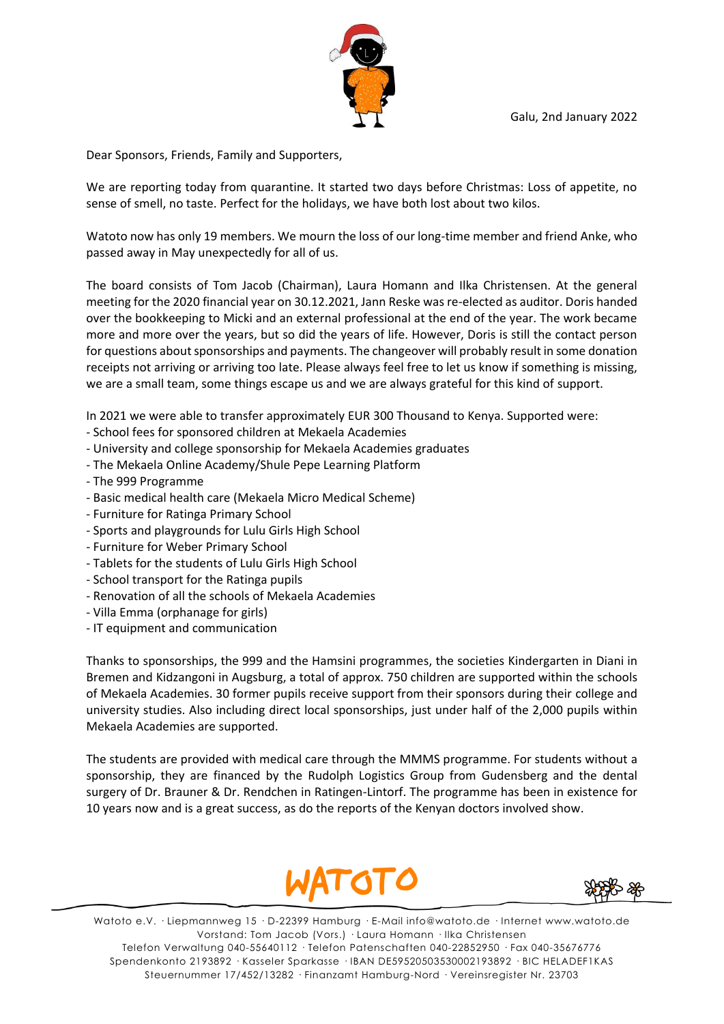

Dear Sponsors, Friends, Family and Supporters,

We are reporting today from quarantine. It started two days before Christmas: Loss of appetite, no sense of smell, no taste. Perfect for the holidays, we have both lost about two kilos.

Watoto now has only 19 members. We mourn the loss of our long-time member and friend Anke, who passed away in May unexpectedly for all of us.

The board consists of Tom Jacob (Chairman), Laura Homann and Ilka Christensen. At the general meeting for the 2020 financial year on 30.12.2021, Jann Reske was re-elected as auditor. Doris handed over the bookkeeping to Micki and an external professional at the end of the year. The work became more and more over the years, but so did the years of life. However, Doris is still the contact person for questions about sponsorships and payments. The changeover will probably result in some donation receipts not arriving or arriving too late. Please always feel free to let us know if something is missing, we are a small team, some things escape us and we are always grateful for this kind of support.

In 2021 we were able to transfer approximately EUR 300 Thousand to Kenya. Supported were:

- School fees for sponsored children at Mekaela Academies
- University and college sponsorship for Mekaela Academies graduates
- The Mekaela Online Academy/Shule Pepe Learning Platform
- The 999 Programme
- Basic medical health care (Mekaela Micro Medical Scheme)
- Furniture for Ratinga Primary School
- Sports and playgrounds for Lulu Girls High School
- Furniture for Weber Primary School
- Tablets for the students of Lulu Girls High School
- School transport for the Ratinga pupils
- Renovation of all the schools of Mekaela Academies
- Villa Emma (orphanage for girls)
- IT equipment and communication

Thanks to sponsorships, the 999 and the Hamsini programmes, the societies Kindergarten in Diani in Bremen and Kidzangoni in Augsburg, a total of approx. 750 children are supported within the schools of Mekaela Academies. 30 former pupils receive support from their sponsors during their college and university studies. Also including direct local sponsorships, just under half of the 2,000 pupils within Mekaela Academies are supported.

The students are provided with medical care through the MMMS programme. For students without a sponsorship, they are financed by the Rudolph Logistics Group from Gudensberg and the dental surgery of Dr. Brauner & Dr. Rendchen in Ratingen-Lintorf. The programme has been in existence for 10 years now and is a great success, as do the reports of the Kenyan doctors involved show.





Watoto e.V. · Liepmannweg 15 · D-22399 Hamburg · E-Mail info@watoto.de · Internet www.watoto.de Vorstand: Tom Jacob (Vors.) · Laura Homann · Ilka Christensen Telefon Verwaltung 040-55640112 · Telefon Patenschaften 040-22852950 · Fax 040-35676776 Spendenkonto 2193892 · Kasseler Sparkasse · IBAN DE59520503530002193892 · BIC HELADEF1KAS Steuernummer 17/452/13282 · Finanzamt Hamburg-Nord · Vereinsregister Nr. 23703